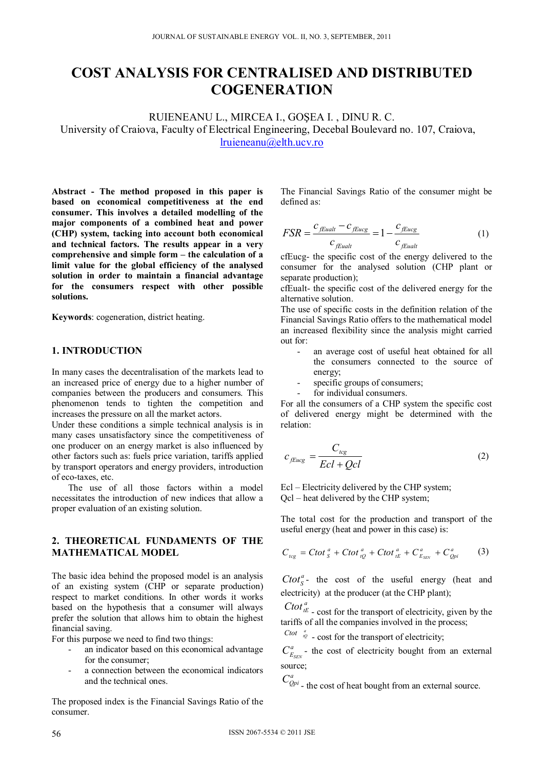# **COST ANALYSIS FOR CENTRALISED AND DISTRIBUTED COGENERATION**

RUIENEANU L., MIRCEA I., GOŞEA I. , DINU R. C. University of Craiova, Faculty of Electrical Engineering, Decebal Boulevard no. 107, Craiova,

lruieneanu@elth.ucv.ro

**Abstract - The method proposed in this paper is based on economical competitiveness at the end consumer. This involves a detailed modelling of the major components of a combined heat and power (CHP) system, tacking into account both economical and technical factors. The results appear in a very comprehensive and simple form – the calculation of a limit value for the global efficiency of the analysed solution in order to maintain a financial advantage for the consumers respect with other possible solutions.** 

**Keywords**: cogeneration, district heating.

### **1. INTRODUCTION**

In many cases the decentralisation of the markets lead to an increased price of energy due to a higher number of companies between the producers and consumers. This phenomenon tends to tighten the competition and increases the pressure on all the market actors.

Under these conditions a simple technical analysis is in many cases unsatisfactory since the competitiveness of one producer on an energy market is also influenced by other factors such as: fuels price variation, tariffs applied by transport operators and energy providers, introduction of eco-taxes, etc.

The use of all those factors within a model necessitates the introduction of new indices that allow a proper evaluation of an existing solution.

# **2. THEORETICAL FUNDAMENTS OF THE MATHEMATICAL MODEL**

The basic idea behind the proposed model is an analysis of an existing system (CHP or separate production) respect to market conditions. In other words it works based on the hypothesis that a consumer will always prefer the solution that allows him to obtain the highest financial saving.

For this purpose we need to find two things:

- an indicator based on this economical advantage for the consumer;
- a connection between the economical indicators and the technical ones.

The proposed index is the Financial Savings Ratio of the consumer.

The Financial Savings Ratio of the consumer might be defined as:

$$
FSR = \frac{c_{\text{Fualt}} - c_{\text{Fuzzy}}}{c_{\text{Fualt}}} = 1 - \frac{c_{\text{Fuzzy}}}{c_{\text{Fualt}}}
$$
(1)

cfEucg- the specific cost of the energy delivered to the consumer for the analysed solution (CHP plant or separate production);

cfEualt- the specific cost of the delivered energy for the alternative solution.

The use of specific costs in the definition relation of the Financial Savings Ratio offers to the mathematical model an increased flexibility since the analysis might carried out for:

- an average cost of useful heat obtained for all the consumers connected to the source of energy;
- specific groups of consumers;

for individual consumers.

For all the consumers of a CHP system the specific cost of delivered energy might be determined with the relation:

$$
c_{fEucg} = \frac{C_{tcg}}{Ecl + Qcl}
$$
 (2)

Ecl – Electricity delivered by the CHP system; Qcl – heat delivered by the CHP system;

The total cost for the production and transport of the useful energy (heat and power in this case) is:

$$
C_{_{tcg}} = C \, \text{tot}_{\,s}^{\,a} + C \, \text{tot}_{\,tQ}^{\,a} + C \, \text{tot}_{\,tE}^{\,a} + C_{_{E_{SEN}}}^{\,a} + C_{_{Qpi}}^{\,a} \tag{3}
$$

 $Ctot<sub>S</sub><sup>a</sup>$  - the cost of the useful energy (heat and electricity) at the producer (at the CHP plant);

*Ctot*<sup> $a$ </sup>  $b$  - cost for the transport of electricity, given by the tariffs of all the companies involved in the process;

*Ctot*  $\int_{Q}^{a}$  - cost for the transport of electricity;

 $C_{E_{SEN}}^a$  - the cost of electricity bought from an external source;

 $C_{Qpi}^a$  - the cost of heat bought from an external source.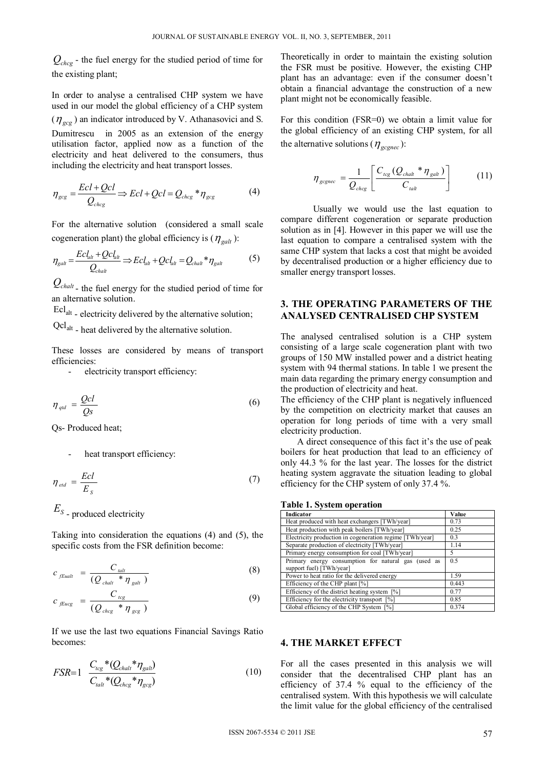$Q_{chco}$  - the fuel energy for the studied period of time for the existing plant;

In order to analyse a centralised CHP system we have used in our model the global efficiency of a CHP system  $(\eta_{\text{acc}})$  an indicator introduced by V. Athanasovici and S. Dumitrescu in 2005 as an extension of the energy utilisation factor, applied now as a function of the electricity and heat delivered to the consumers, thus including the electricity and heat transport losses.

$$
\eta_{gcg} = \frac{Ecl + Qcl}{Q_{chcg}} \Rightarrow Ecl + Qcl = Q_{chcg} * \eta_{gcg} \tag{4}
$$

For the alternative solution (considered a small scale cogeneration plant) the global efficiency is  $(\eta_{\text{salt}})$ :

$$
\eta_{\text{g}at} = \frac{Ecl_{\text{alt}} + Qcl_{\text{alt}}}{Q_{\text{ch}at}} \Longrightarrow Ecl_{\text{alt}} + Qcl_{\text{alt}} = Q_{\text{ch}at} * \eta_{\text{g}at} \tag{5}
$$

 $Q_{\text{chalt}}$  - the fuel energy for the studied period of time for an alternative solution.

Eclalt - electricity delivered by the alternative solution;

Qclalt - heat delivered by the alternative solution.

These losses are considered by means of transport efficiencies:

- electricity transport efficiency:

$$
\eta_{\text{qld}} = \frac{Qcl}{Qs} \tag{6}
$$

Qs- Produced heat;

heat transport efficiency:

$$
\eta_{\text{ed}} = \frac{Ecl}{E_s} \tag{7}
$$

*ES* - produced electricity

Taking into consideration the equations (4) and (5), the specific costs from the FSR definition become:

$$
c_{\text{fEualt}} = \frac{C_{\text{talt}}}{(Q_{\text{chalt}} * \eta_{\text{galt}})}
$$
(8)

$$
c_{f\text{Eucg}} = \frac{C_{tcg}}{(Q_{chcg} * \eta_{gcg})}
$$
(9)

If we use the last two equations Financial Savings Ratio becomes:

$$
FSR=1 \frac{C_{tcg}*(Q_{chalt}*\eta_{galt})}{C_{talt}*(Q_{chcg}*\eta_{gcg})}
$$
(10)

Theoretically in order to maintain the existing solution the FSR must be positive. However, the existing CHP plant has an advantage: even if the consumer doesn't obtain a financial advantage the construction of a new plant might not be economically feasible.

For this condition (FSR=0) we obtain a limit value for the global efficiency of an existing CHP system, for all the alternative solutions ( $\eta_{\text{escape}}$ ):

$$
\eta_{\text{ggnec}} = \frac{1}{Q_{\text{chcg}}} \left[ \frac{C_{\text{tcg}} (Q_{\text{chalt}} * \eta_{\text{galt}})}{C_{\text{talt}}} \right] \tag{11}
$$

Usually we would use the last equation to compare different cogeneration or separate production solution as in [4]. However in this paper we will use the last equation to compare a centralised system with the same CHP system that lacks a cost that might be avoided by decentralised production or a higher efficiency due to smaller energy transport losses.

# **3. THE OPERATING PARAMETERS OF THE ANALYSED CENTRALISED CHP SYSTEM**

The analysed centralised solution is a CHP system consisting of a large scale cogeneration plant with two groups of 150 MW installed power and a district heating system with 94 thermal stations. In table 1 we present the main data regarding the primary energy consumption and the production of electricity and heat.

The efficiency of the CHP plant is negatively influenced by the competition on electricity market that causes an operation for long periods of time with a very small electricity production.

A direct consequence of this fact it's the use of peak boilers for heat production that lead to an efficiency of only 44.3 % for the last year. The losses for the district heating system aggravate the situation leading to global efficiency for the CHP system of only 37.4 %.

| Indicator                                                                       | Value |
|---------------------------------------------------------------------------------|-------|
| Heat produced with heat exchangers [TWh/year]                                   | 0.73  |
| Heat production with peak boilers [TWh/year]                                    | 0.25  |
| Electricity production in cogeneration regime [TWh/year]                        | 0.3   |
| Separate production of electricity [TWh/year]                                   | 1.14  |
| Primary energy consumption for coal [TWh/year]                                  | 5     |
| Primary energy consumption for natural gas (used as<br>support fuel) [TWh/year] | 0.5   |
| Power to heat ratio for the delivered energy                                    | 1.59  |
| Efficiency of the CHP plant [%]                                                 | 0.443 |
| Efficiency of the district heating system [%]                                   | 0.77  |
| Efficiency for the electricity transport [%]                                    | 0.85  |
| Global efficiency of the CHP System [%]                                         | 0.374 |

# **Table 1. System operation**

#### **4. THE MARKET EFFECT**

For all the cases presented in this analysis we will consider that the decentralised CHP plant has an efficiency of 37.4 % equal to the efficiency of the centralised system. With this hypothesis we will calculate the limit value for the global efficiency of the centralised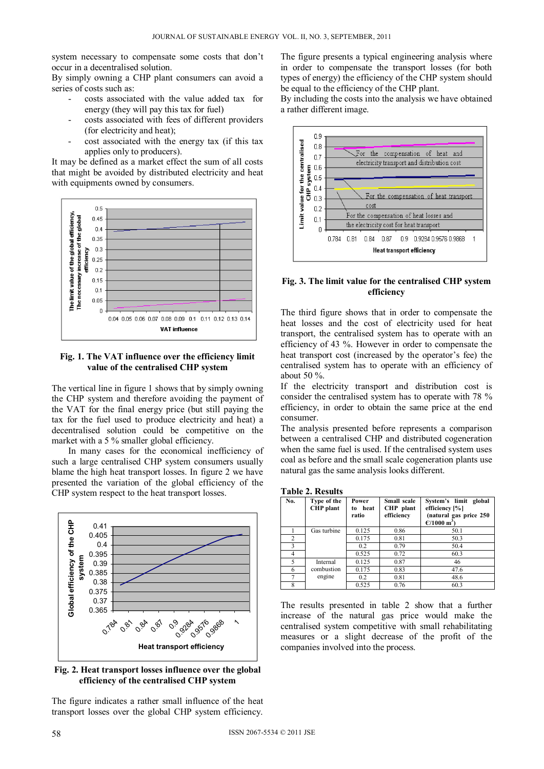system necessary to compensate some costs that don't occur in a decentralised solution.

By simply owning a CHP plant consumers can avoid a series of costs such as:

- costs associated with the value added tax for energy (they will pay this tax for fuel)
- costs associated with fees of different providers (for electricity and heat);
- cost associated with the energy tax (if this tax applies only to producers).

It may be defined as a market effect the sum of all costs that might be avoided by distributed electricity and heat with equipments owned by consumers.



### **Fig. 1. The VAT influence over the efficiency limit value of the centralised CHP system**

The vertical line in figure 1 shows that by simply owning the CHP system and therefore avoiding the payment of the VAT for the final energy price (but still paying the tax for the fuel used to produce electricity and heat) a decentralised solution could be competitive on the market with a 5 % smaller global efficiency.

In many cases for the economical inefficiency of such a large centralised CHP system consumers usually blame the high heat transport losses. In figure 2 we have presented the variation of the global efficiency of the CHP system respect to the heat transport losses.



**Fig. 2. Heat transport losses influence over the global efficiency of the centralised CHP system** 

The figure indicates a rather small influence of the heat transport losses over the global CHP system efficiency.

The figure presents a typical engineering analysis where in order to compensate the transport losses (for both types of energy) the efficiency of the CHP system should be equal to the efficiency of the CHP plant.

By including the costs into the analysis we have obtained a rather different image.



### **Fig. 3. The limit value for the centralised CHP system efficiency**

The third figure shows that in order to compensate the heat losses and the cost of electricity used for heat transport, the centralised system has to operate with an efficiency of 43 %. However in order to compensate the heat transport cost (increased by the operator's fee) the centralised system has to operate with an efficiency of about 50 %.

If the electricity transport and distribution cost is consider the centralised system has to operate with 78 % efficiency, in order to obtain the same price at the end consumer.

The analysis presented before represents a comparison between a centralised CHP and distributed cogeneration when the same fuel is used. If the centralised system uses coal as before and the small scale cogeneration plants use natural gas the same analysis looks different.

**Table 2. Results** 

| No.            | Type of the<br>CHP plant | Power<br>heat<br>to<br>ratio | Small scale<br>CHP plant<br>efficiency | System's limit global<br>efficiency [%]<br>(natural gas price 250<br>$C/1000 \; \mathrm{m}^3$ ) |
|----------------|--------------------------|------------------------------|----------------------------------------|-------------------------------------------------------------------------------------------------|
|                | Gas turbine              | 0.125                        | 0.86                                   | 50.1                                                                                            |
| $\overline{2}$ |                          | 0.175                        | 0.81                                   | 50.3                                                                                            |
| 3              |                          | 0.2                          | 0.79                                   | 50.4                                                                                            |
| 4              |                          | 0.525                        | 0.72                                   | 60.3                                                                                            |
| 5              | Internal                 | 0.125                        | 0.87                                   | 46                                                                                              |
| 6              | combustion               | 0.175                        | 0.83                                   | 47.6                                                                                            |
|                | engine                   | 0.2                          | 0.81                                   | 48.6                                                                                            |
| 8              |                          | 0.525                        | 0.76                                   | 60.3                                                                                            |

The results presented in table 2 show that a further increase of the natural gas price would make the centralised system competitive with small rehabilitating measures or a slight decrease of the profit of the companies involved into the process.